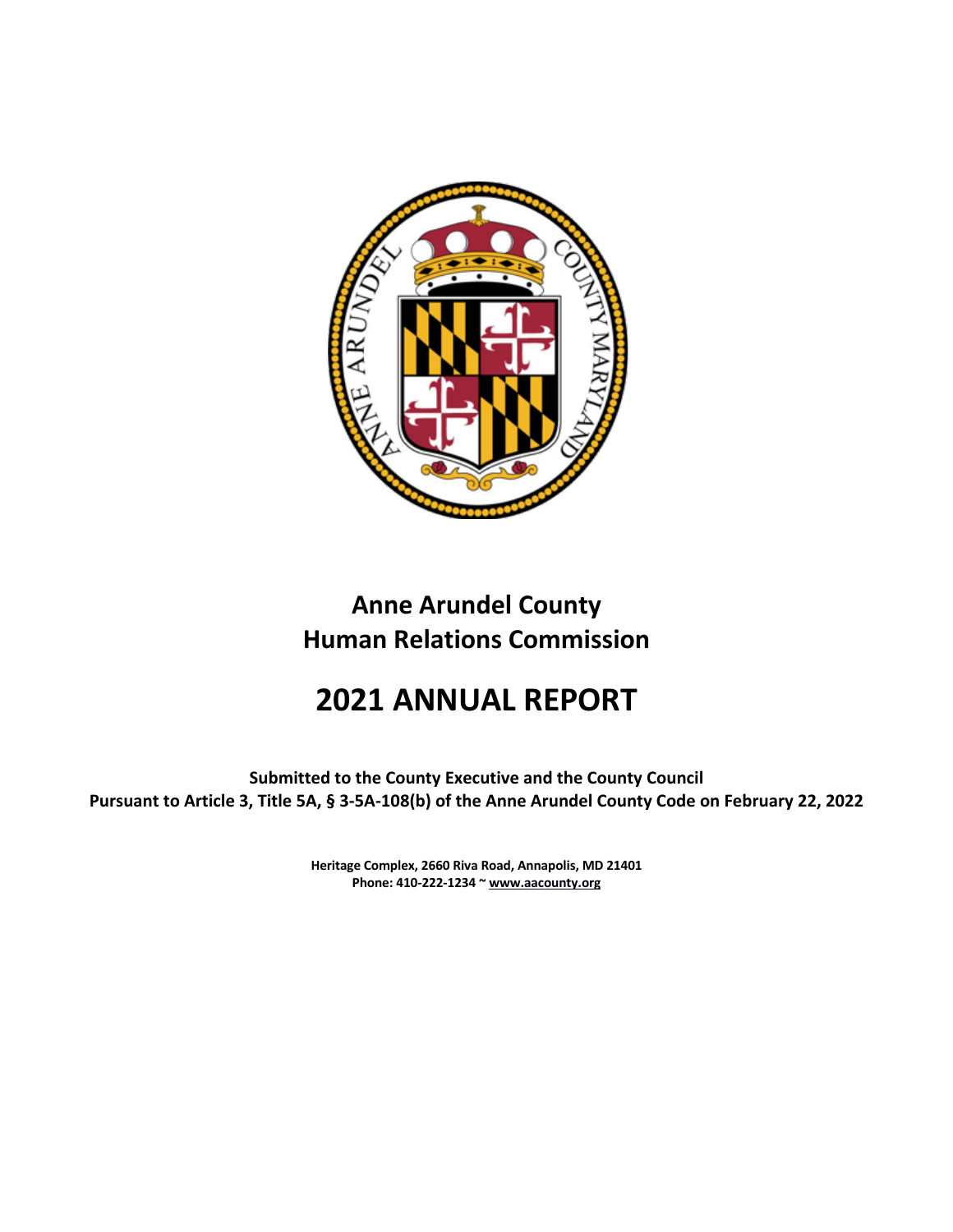

## **Anne Arundel County Human Relations Commission**

# **2021 ANNUAL REPORT**

**Submitted to the County Executive and the County Council Pursuant to Article 3, Title 5A, § 3-5A-108(b) of the Anne Arundel County Code on February 22, 2022**

> **Heritage Complex, 2660 Riva Road, Annapolis, MD 21401 Phone: 410-222-1234 ~ www.aacounty.org**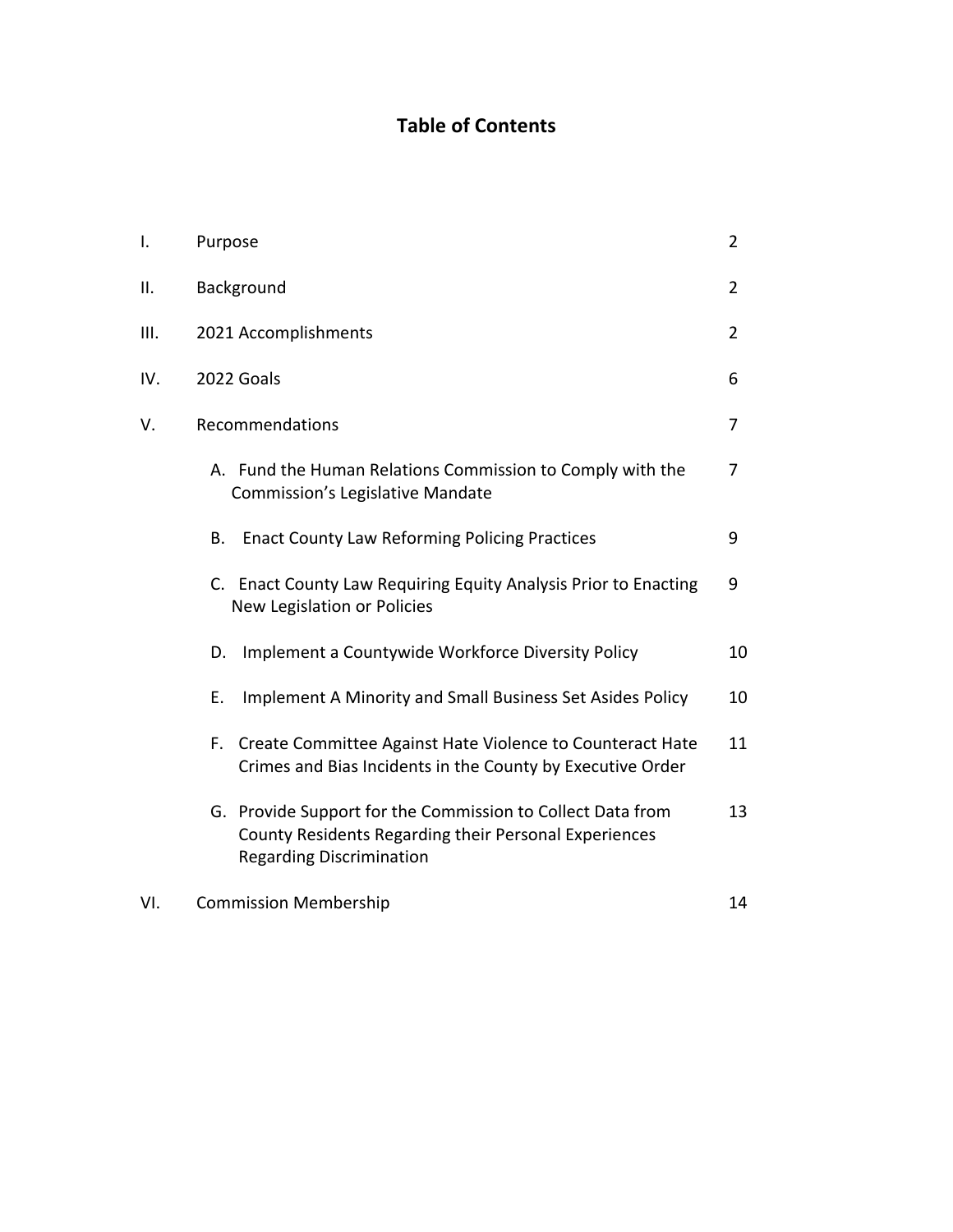### **Table of Contents**

| I.  | Purpose                                                                                                                                                | $\overline{2}$ |
|-----|--------------------------------------------------------------------------------------------------------------------------------------------------------|----------------|
| ΙΙ. | Background                                                                                                                                             | 2              |
| Ш.  | 2021 Accomplishments                                                                                                                                   | $\overline{2}$ |
| IV. | 2022 Goals                                                                                                                                             | 6              |
| V.  | Recommendations                                                                                                                                        | 7              |
|     | A. Fund the Human Relations Commission to Comply with the<br><b>Commission's Legislative Mandate</b>                                                   | 7              |
|     | <b>Enact County Law Reforming Policing Practices</b><br>В.                                                                                             | 9              |
|     | C. Enact County Law Requiring Equity Analysis Prior to Enacting<br>New Legislation or Policies                                                         | 9              |
|     | Implement a Countywide Workforce Diversity Policy<br>D.                                                                                                | 10             |
|     | Implement A Minority and Small Business Set Asides Policy<br>Е.                                                                                        | 10             |
|     | F. Create Committee Against Hate Violence to Counteract Hate<br>Crimes and Bias Incidents in the County by Executive Order                             | 11             |
|     | G. Provide Support for the Commission to Collect Data from<br>County Residents Regarding their Personal Experiences<br><b>Regarding Discrimination</b> | 13             |
| VI. | <b>Commission Membership</b>                                                                                                                           | 14             |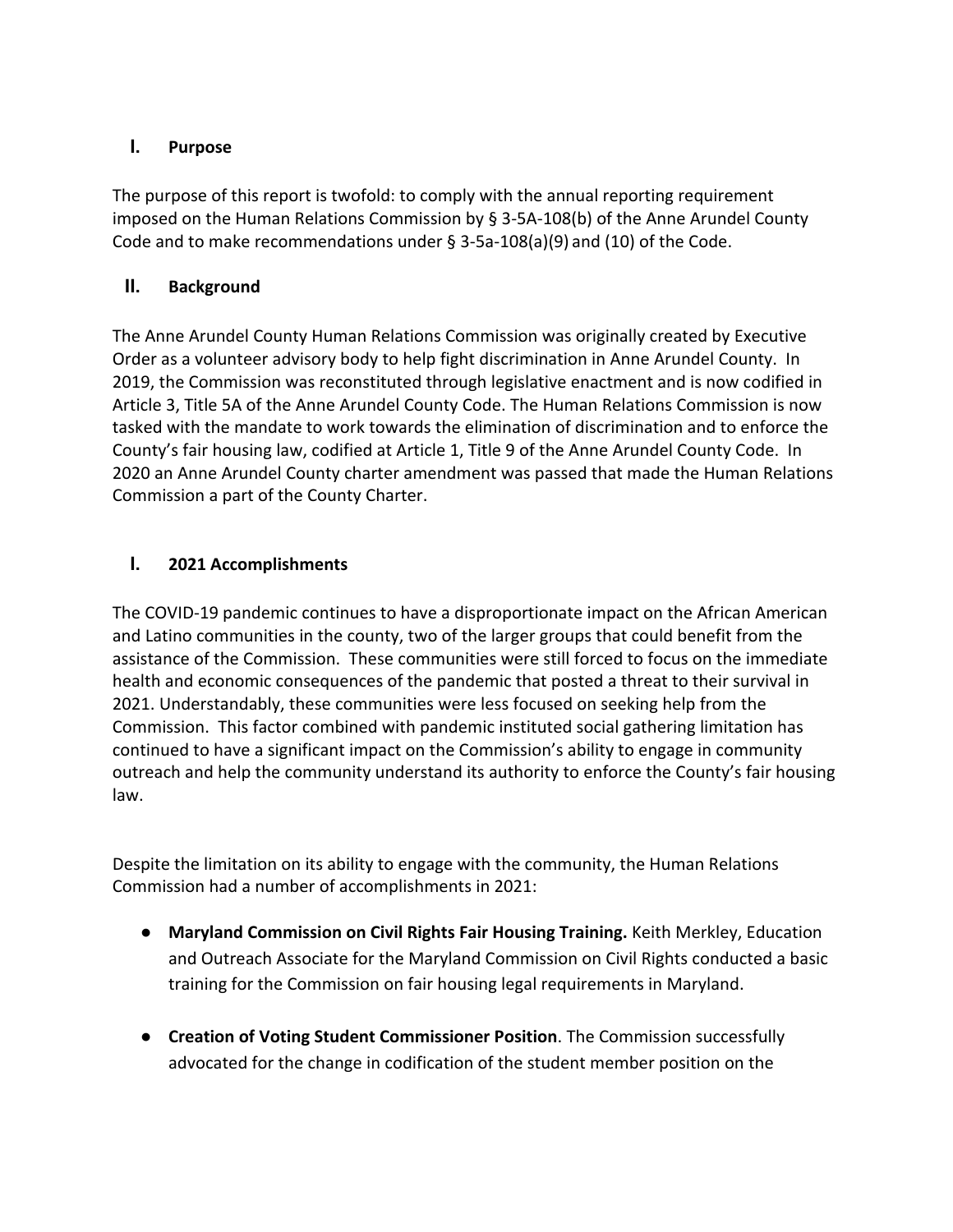#### **I. Purpose**

The purpose of this report is twofold: to comply with the annual reporting requirement imposed on the Human Relations Commission by § 3-5A-108(b) of the Anne Arundel County Code and to make recommendations under  $\S$  3-5a-108(a)(9) and (10) of the Code.

#### **II. Background**

The Anne Arundel County Human Relations Commission was originally created by Executive Order as a volunteer advisory body to help fight discrimination in Anne Arundel County. In 2019, the Commission was reconstituted through legislative enactment and is now codified in Article 3, Title 5A of the Anne Arundel County Code. The Human Relations Commission is now tasked with the mandate to work towards the elimination of discrimination and to enforce the County's fair housing law, codified at Article 1, Title 9 of the Anne Arundel County Code. In 2020 an Anne Arundel County charter amendment was passed that made the Human Relations Commission a part of the County Charter.

#### **I. 2021 Accomplishments**

The COVID-19 pandemic continues to have a disproportionate impact on the African American and Latino communities in the county, two of the larger groups that could benefit from the assistance of the Commission. These communities were still forced to focus on the immediate health and economic consequences of the pandemic that posted a threat to their survival in 2021. Understandably, these communities were less focused on seeking help from the Commission. This factor combined with pandemic instituted social gathering limitation has continued to have a significant impact on the Commission's ability to engage in community outreach and help the community understand its authority to enforce the County's fair housing law.

Despite the limitation on its ability to engage with the community, the Human Relations Commission had a number of accomplishments in 2021:

- **Maryland Commission on Civil Rights Fair Housing Training.** Keith Merkley, Education and Outreach Associate for the Maryland Commission on Civil Rights conducted a basic training for the Commission on fair housing legal requirements in Maryland.
- **Creation of Voting Student Commissioner Position**. The Commission successfully advocated for the change in codification of the student member position on the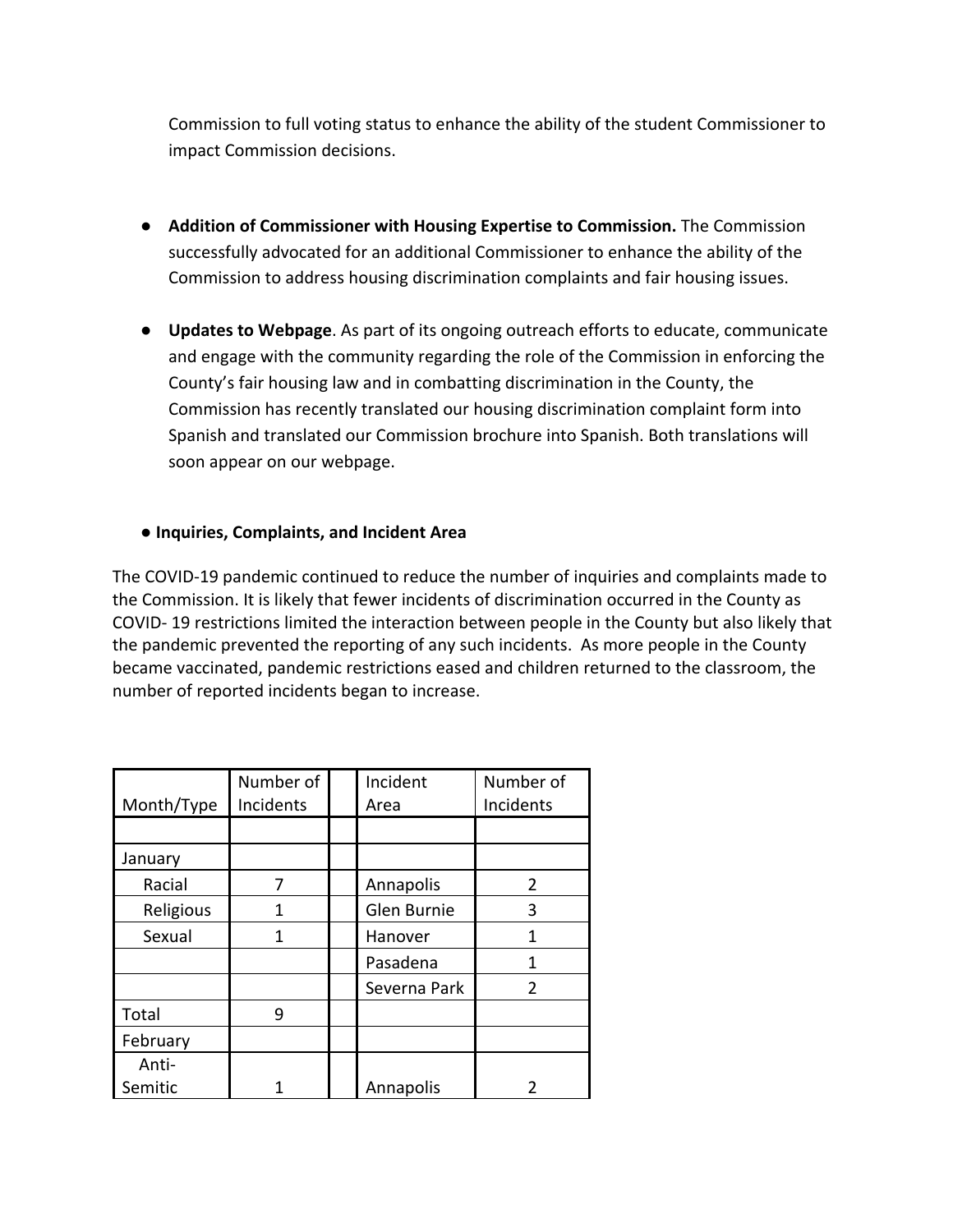Commission to full voting status to enhance the ability of the student Commissioner to impact Commission decisions.

- **Addition of Commissioner with Housing Expertise to Commission.** The Commission successfully advocated for an additional Commissioner to enhance the ability of the Commission to address housing discrimination complaints and fair housing issues.
- **Updates to Webpage**. As part of its ongoing outreach efforts to educate, communicate and engage with the community regarding the role of the Commission in enforcing the County's fair housing law and in combatting discrimination in the County, the Commission has recently translated our housing discrimination complaint form into Spanish and translated our Commission brochure into Spanish. Both translations will soon appear on our webpage.

#### ● **Inquiries, Complaints, and Incident Area**

The COVID-19 pandemic continued to reduce the number of inquiries and complaints made to the Commission. It is likely that fewer incidents of discrimination occurred in the County as COVID- 19 restrictions limited the interaction between people in the County but also likely that the pandemic prevented the reporting of any such incidents. As more people in the County became vaccinated, pandemic restrictions eased and children returned to the classroom, the number of reported incidents began to increase.

|            | Number of | Incident     | Number of      |
|------------|-----------|--------------|----------------|
| Month/Type | Incidents | Area         | Incidents      |
|            |           |              |                |
| January    |           |              |                |
| Racial     | 7         | Annapolis    | $\mathcal{P}$  |
| Religious  | 1         | Glen Burnie  | 3              |
| Sexual     | 1         | Hanover      | 1              |
|            |           | Pasadena     | 1              |
|            |           | Severna Park | $\overline{2}$ |
| Total      | 9         |              |                |
| February   |           |              |                |
| Anti-      |           |              |                |
| Semitic    |           | Annapolis    | າ              |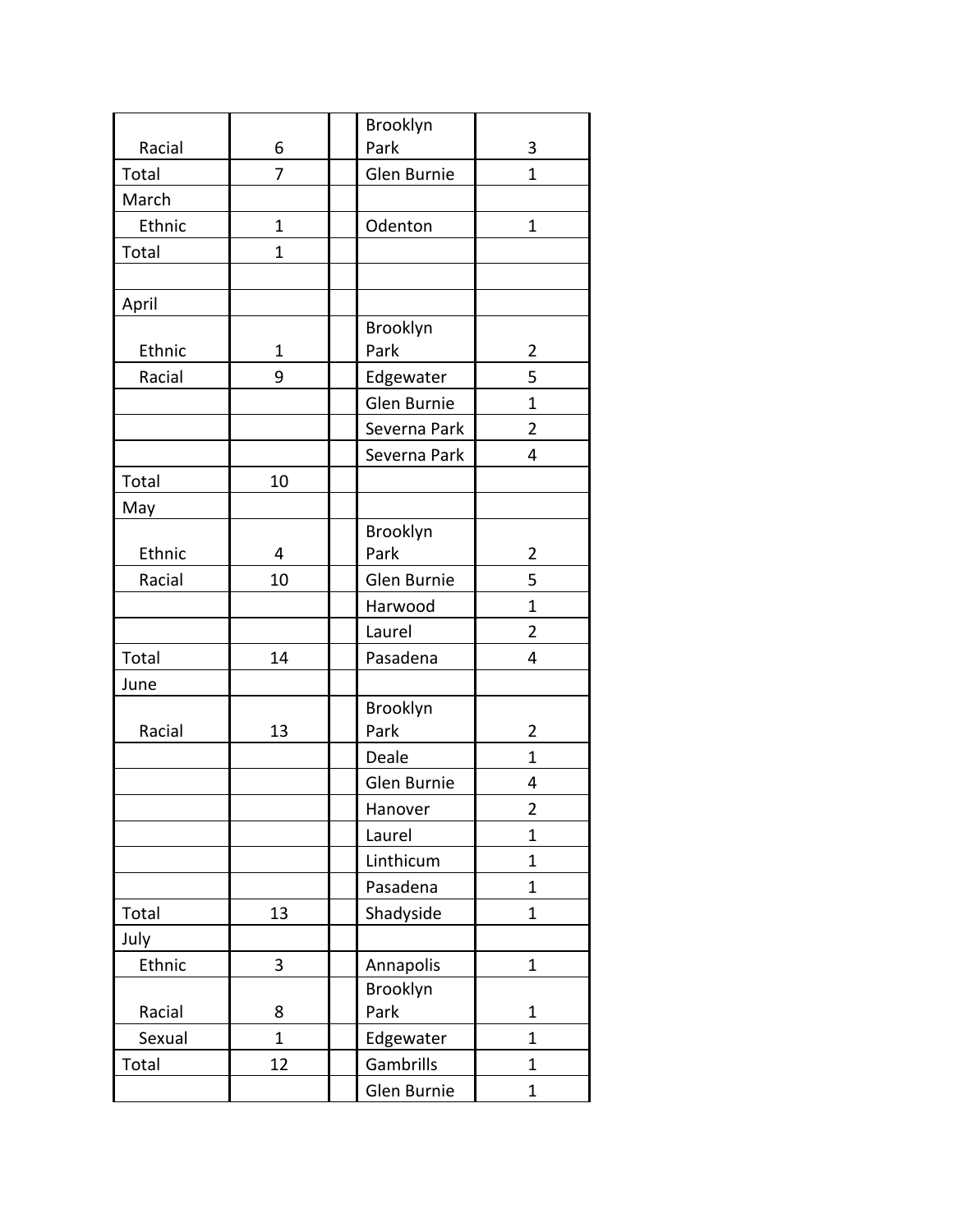|        |              | Brooklyn     |                         |
|--------|--------------|--------------|-------------------------|
| Racial | 6            | Park         | 3                       |
| Total  | 7            | Glen Burnie  | $\mathbf{1}$            |
| March  |              |              |                         |
| Ethnic | $\mathbf 1$  | Odenton      | 1                       |
| Total  | 1            |              |                         |
|        |              |              |                         |
| April  |              |              |                         |
|        |              | Brooklyn     |                         |
| Ethnic | 1            | Park         | 2                       |
| Racial | 9            | Edgewater    | 5                       |
|        |              | Glen Burnie  | 1                       |
|        |              | Severna Park | $\overline{2}$          |
|        |              | Severna Park | 4                       |
| Total  | 10           |              |                         |
| May    |              |              |                         |
|        |              | Brooklyn     |                         |
| Ethnic | 4            | Park         | 2                       |
| Racial | 10           | Glen Burnie  | 5                       |
|        |              | Harwood      | 1                       |
|        |              | Laurel       | $\overline{2}$          |
| Total  | 14           | Pasadena     | 4                       |
| June   |              |              |                         |
|        |              | Brooklyn     |                         |
| Racial | 13           | Park         | $\overline{2}$          |
|        |              | Deale        | 1                       |
|        |              | Glen Burnie  | 4                       |
|        |              | Hanover      | $\overline{\mathbf{c}}$ |
|        |              | Laurel       | $\mathbf{1}$            |
|        |              | Linthicum    | $\overline{1}$          |
|        |              | Pasadena     | $\mathbf 1$             |
| Total  | 13           | Shadyside    | $\mathbf 1$             |
| July   |              |              |                         |
| Ethnic | 3            | Annapolis    | $\mathbf 1$             |
|        |              | Brooklyn     |                         |
| Racial | 8            | Park         | $\mathbf 1$             |
| Sexual | $\mathbf{1}$ | Edgewater    | $\overline{1}$          |
| Total  | 12           | Gambrills    | $\mathbf 1$             |
|        |              | Glen Burnie  | 1                       |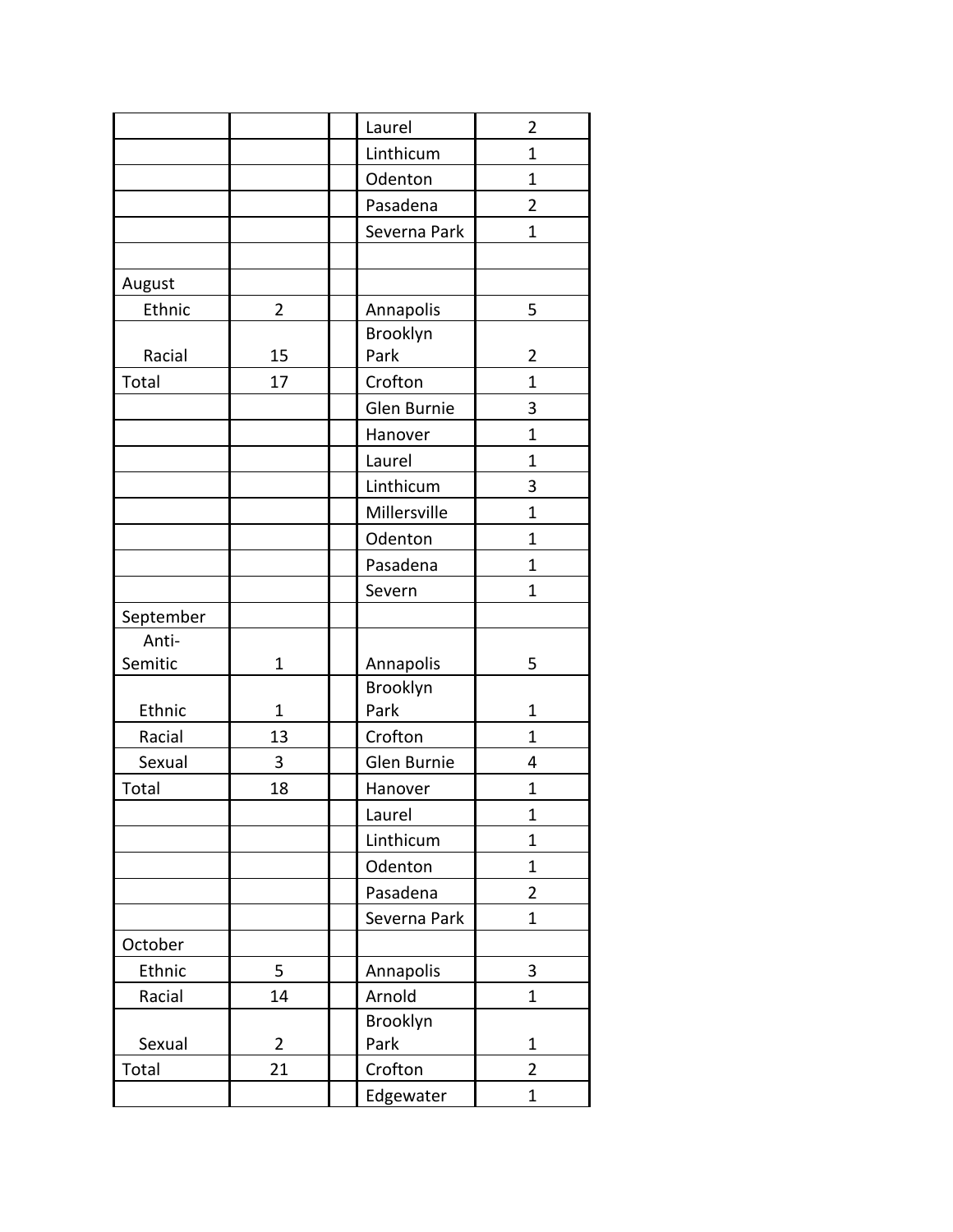|           |                | Laurel       | $\overline{2}$ |
|-----------|----------------|--------------|----------------|
|           |                | Linthicum    | $\mathbf{1}$   |
|           |                | Odenton      | 1              |
|           |                | Pasadena     | $\overline{2}$ |
|           |                | Severna Park | $\mathbf{1}$   |
|           |                |              |                |
| August    |                |              |                |
| Ethnic    | 2              | Annapolis    | 5              |
|           |                | Brooklyn     |                |
| Racial    | 15             | Park         | $\overline{2}$ |
| Total     | 17             | Crofton      | 1              |
|           |                | Glen Burnie  | 3              |
|           |                | Hanover      | $\mathbf{1}$   |
|           |                | Laurel       | $\mathbf{1}$   |
|           |                | Linthicum    | 3              |
|           |                | Millersville | $\mathbf{1}$   |
|           |                | Odenton      | 1              |
|           |                | Pasadena     | $\mathbf{1}$   |
|           |                | Severn       | $\mathbf{1}$   |
| September |                |              |                |
| Anti-     |                |              |                |
| Semitic   | 1              | Annapolis    | 5              |
|           |                | Brooklyn     |                |
| Ethnic    | 1              | Park         | $\mathbf{1}$   |
| Racial    | 13             | Crofton      | $\mathbf{1}$   |
| Sexual    | 3              | Glen Burnie  | 4              |
| Total     | 18             | Hanover      | $\mathbf{1}$   |
|           |                | Laurel       | $\overline{1}$ |
|           |                | Linthicum    | 1              |
|           |                | Odenton      | 1              |
|           |                | Pasadena     | $\overline{2}$ |
|           |                | Severna Park | $\mathbf{1}$   |
| October   |                |              |                |
| Ethnic    | 5              | Annapolis    | 3              |
| Racial    | 14             | Arnold       | $\mathbf 1$    |
|           |                | Brooklyn     |                |
| Sexual    | $\overline{2}$ | Park         | $\mathbf 1$    |
| Total     | 21             | Crofton      | $\overline{2}$ |
|           |                | Edgewater    | 1              |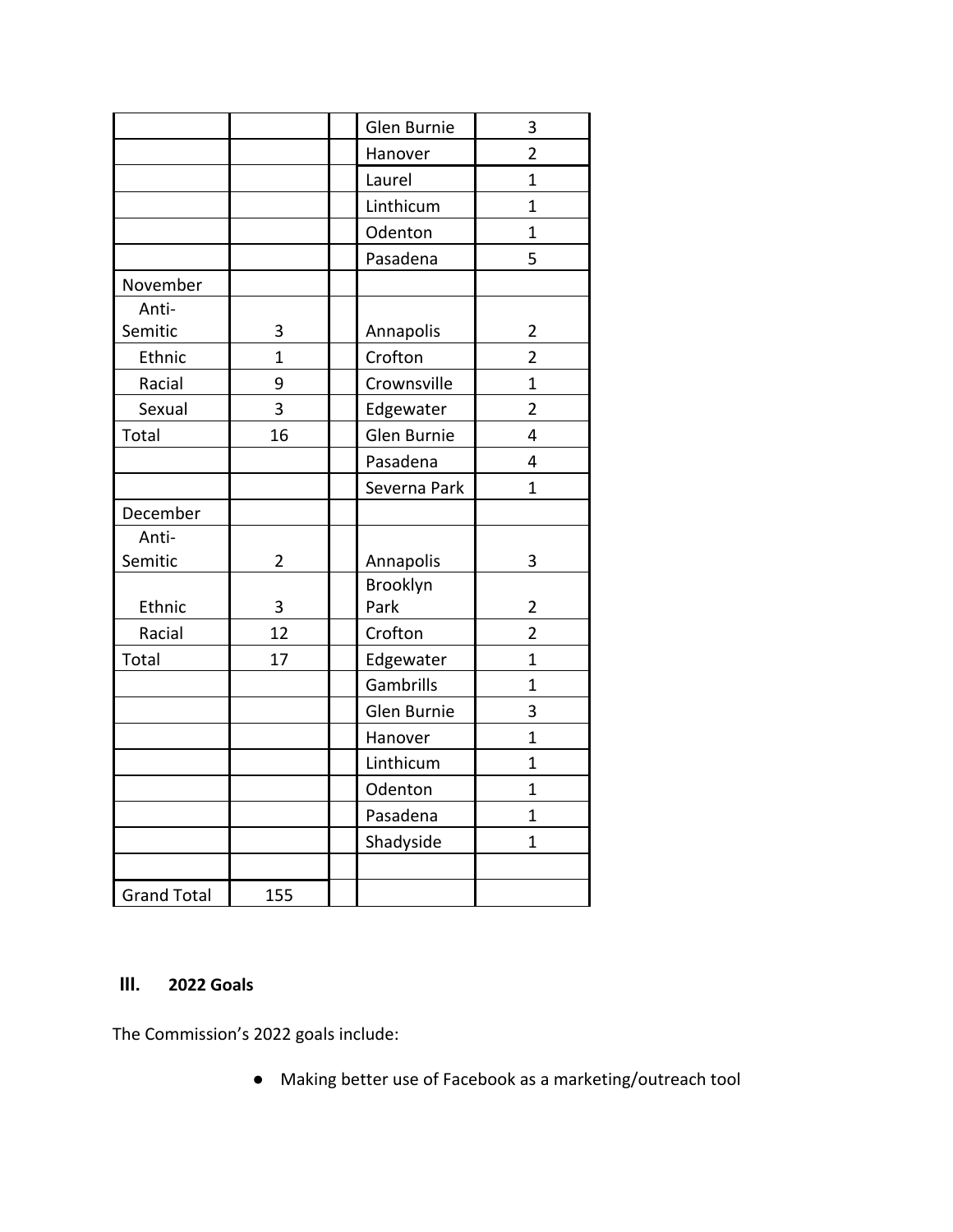|                    |                | Glen Burnie  | 3                       |
|--------------------|----------------|--------------|-------------------------|
|                    |                | Hanover      | $\overline{2}$          |
|                    |                | Laurel       | $\mathbf{1}$            |
|                    |                | Linthicum    | $\overline{1}$          |
|                    |                | Odenton      | $\overline{1}$          |
|                    |                | Pasadena     | 5                       |
| November           |                |              |                         |
| Anti-              |                |              |                         |
| Semitic            | 3              | Annapolis    | $\overline{\mathbf{c}}$ |
| Ethnic             | 1              | Crofton      | $\overline{2}$          |
| Racial             | 9              | Crownsville  | $\overline{1}$          |
| Sexual             | 3              | Edgewater    | $\overline{2}$          |
| Total              | 16             | Glen Burnie  | $\overline{4}$          |
|                    |                | Pasadena     | 4                       |
|                    |                | Severna Park | $\overline{1}$          |
| December           |                |              |                         |
| Anti-              |                |              |                         |
| Semitic            | $\overline{2}$ | Annapolis    | 3                       |
|                    |                | Brooklyn     |                         |
| Ethnic             | 3              | Park         | $\overline{2}$          |
| Racial             | 12             | Crofton      | $\overline{2}$          |
| Total              | 17             | Edgewater    | $\overline{1}$          |
|                    |                | Gambrills    | $\mathbf 1$             |
|                    |                | Glen Burnie  | 3                       |
|                    |                | Hanover      | $\overline{1}$          |
|                    |                | Linthicum    | $\mathbf 1$             |
|                    |                | Odenton      | $\mathbf{1}$            |
|                    |                | Pasadena     | $\mathbf 1$             |
|                    |                | Shadyside    | $\mathbf{1}$            |
|                    |                |              |                         |
| <b>Grand Total</b> | 155            |              |                         |

#### **III. 2022 Goals**

The Commission's 2022 goals include:

● Making better use of Facebook as a marketing/outreach tool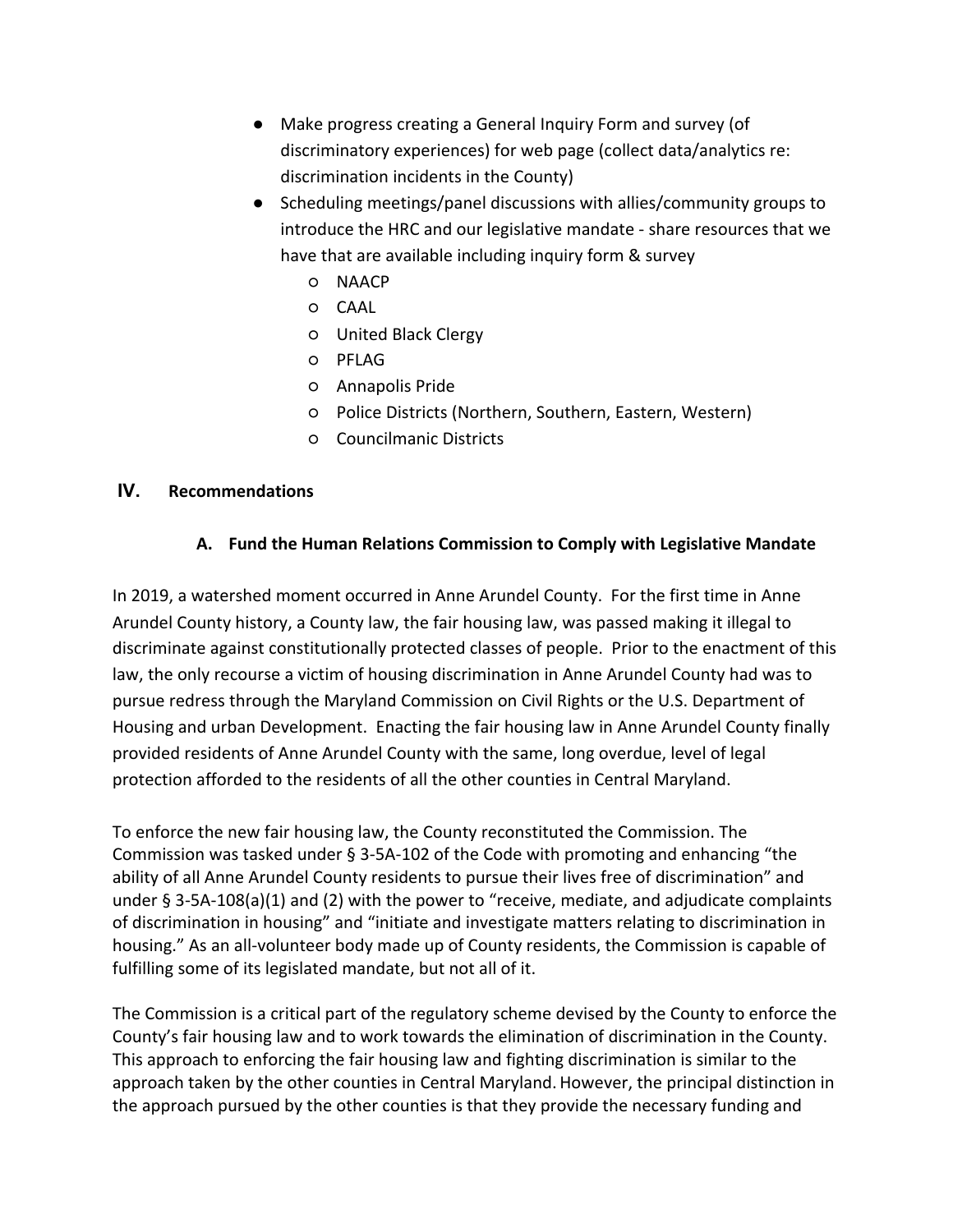- Make progress creating a General Inquiry Form and survey (of discriminatory experiences) for web page (collect data/analytics re: discrimination incidents in the County)
- Scheduling meetings/panel discussions with allies/community groups to introduce the HRC and our legislative mandate - share resources that we have that are available including inquiry form & survey
	- NAACP
	- CAAL
	- United Black Clergy
	- PFLAG
	- Annapolis Pride
	- Police Districts (Northern, Southern, Eastern, Western)
	- Councilmanic Districts

#### **IV. Recommendations**

#### **A. Fund the Human Relations Commission to Comply with Legislative Mandate**

In 2019, a watershed moment occurred in Anne Arundel County. For the first time in Anne Arundel County history, a County law, the fair housing law, was passed making it illegal to discriminate against constitutionally protected classes of people. Prior to the enactment of this law, the only recourse a victim of housing discrimination in Anne Arundel County had was to pursue redress through the Maryland Commission on Civil Rights or the U.S. Department of Housing and urban Development. Enacting the fair housing law in Anne Arundel County finally provided residents of Anne Arundel County with the same, long overdue, level of legal protection afforded to the residents of all the other counties in Central Maryland.

To enforce the new fair housing law, the County reconstituted the Commission. The Commission was tasked under § 3-5A-102 of the Code with promoting and enhancing "the ability of all Anne Arundel County residents to pursue their lives free of discrimination" and under § 3-5A-108(a)(1) and (2) with the power to "receive, mediate, and adjudicate complaints of discrimination in housing" and "initiate and investigate matters relating to discrimination in housing." As an all-volunteer body made up of County residents, the Commission is capable of fulfilling some of its legislated mandate, but not all of it.

The Commission is a critical part of the regulatory scheme devised by the County to enforce the County's fair housing law and to work towards the elimination of discrimination in the County. This approach to enforcing the fair housing law and fighting discrimination is similar to the approach taken by the other counties in Central Maryland.However, the principal distinction in the approach pursued by the other counties is that they provide the necessary funding and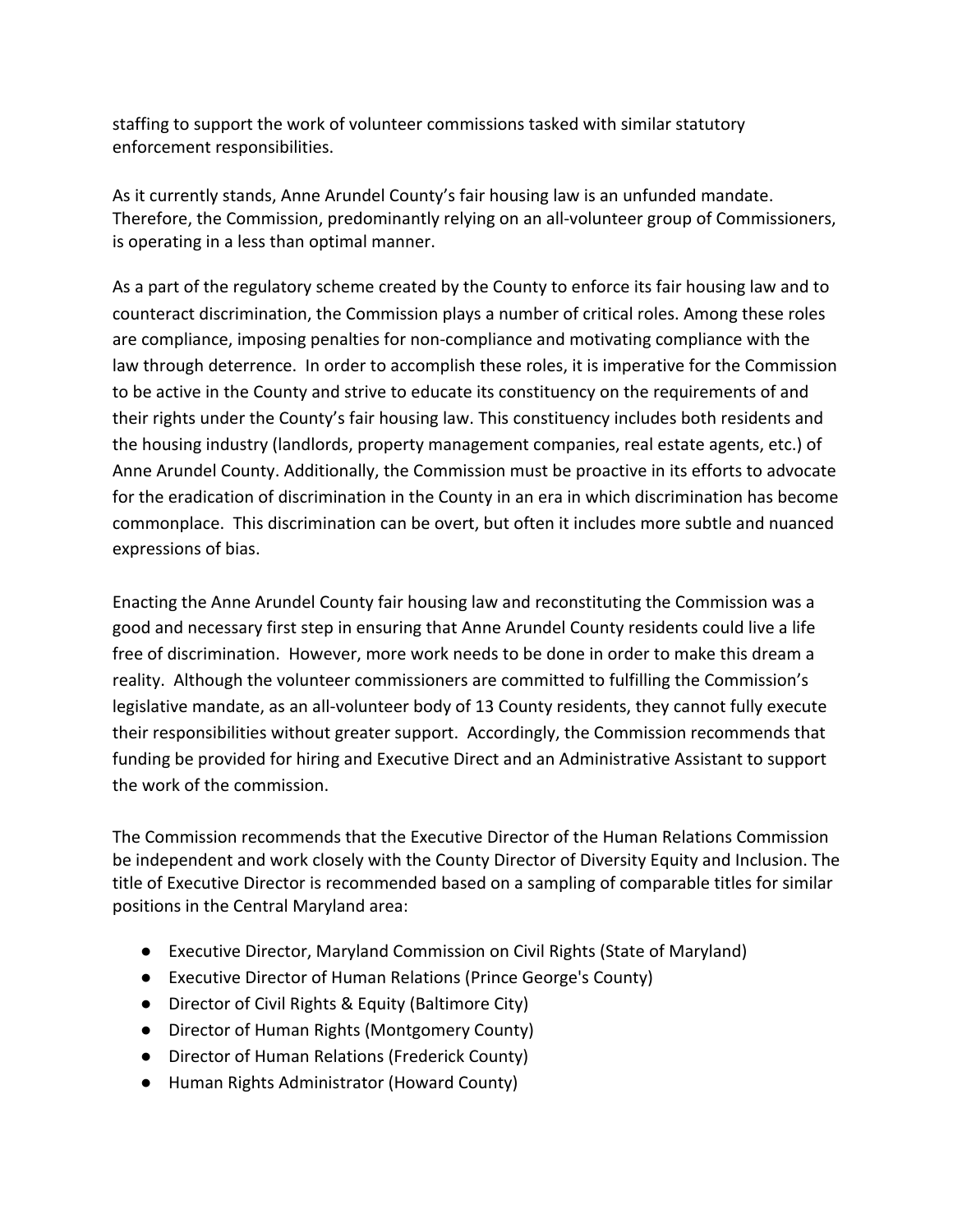staffing to support the work of volunteer commissions tasked with similar statutory enforcement responsibilities.

As it currently stands, Anne Arundel County's fair housing law is an unfunded mandate. Therefore, the Commission, predominantly relying on an all-volunteer group of Commissioners, is operating in a less than optimal manner.

As a part of the regulatory scheme created by the County to enforce its fair housing law and to counteract discrimination, the Commission plays a number of critical roles. Among these roles are compliance, imposing penalties for non-compliance and motivating compliance with the law through deterrence. In order to accomplish these roles, it is imperative for the Commission to be active in the County and strive to educate its constituency on the requirements of and their rights under the County's fair housing law. This constituency includes both residents and the housing industry (landlords, property management companies, real estate agents, etc.) of Anne Arundel County. Additionally, the Commission must be proactive in its efforts to advocate for the eradication of discrimination in the County in an era in which discrimination has become commonplace. This discrimination can be overt, but often it includes more subtle and nuanced expressions of bias.

Enacting the Anne Arundel County fair housing law and reconstituting the Commission was a good and necessary first step in ensuring that Anne Arundel County residents could live a life free of discrimination. However, more work needs to be done in order to make this dream a reality. Although the volunteer commissioners are committed to fulfilling the Commission's legislative mandate, as an all-volunteer body of 13 County residents, they cannot fully execute their responsibilities without greater support. Accordingly, the Commission recommends that funding be provided for hiring and Executive Direct and an Administrative Assistant to support the work of the commission.

The Commission recommends that the Executive Director of the Human Relations Commission be independent and work closely with the County Director of Diversity Equity and Inclusion. The title of Executive Director is recommended based on a sampling of comparable titles for similar positions in the Central Maryland area:

- Executive Director, Maryland Commission on Civil Rights (State of Maryland)
- Executive Director of Human Relations (Prince George's County)
- Director of Civil Rights & Equity (Baltimore City)
- Director of Human Rights (Montgomery County)
- Director of Human Relations (Frederick County)
- Human Rights Administrator (Howard County)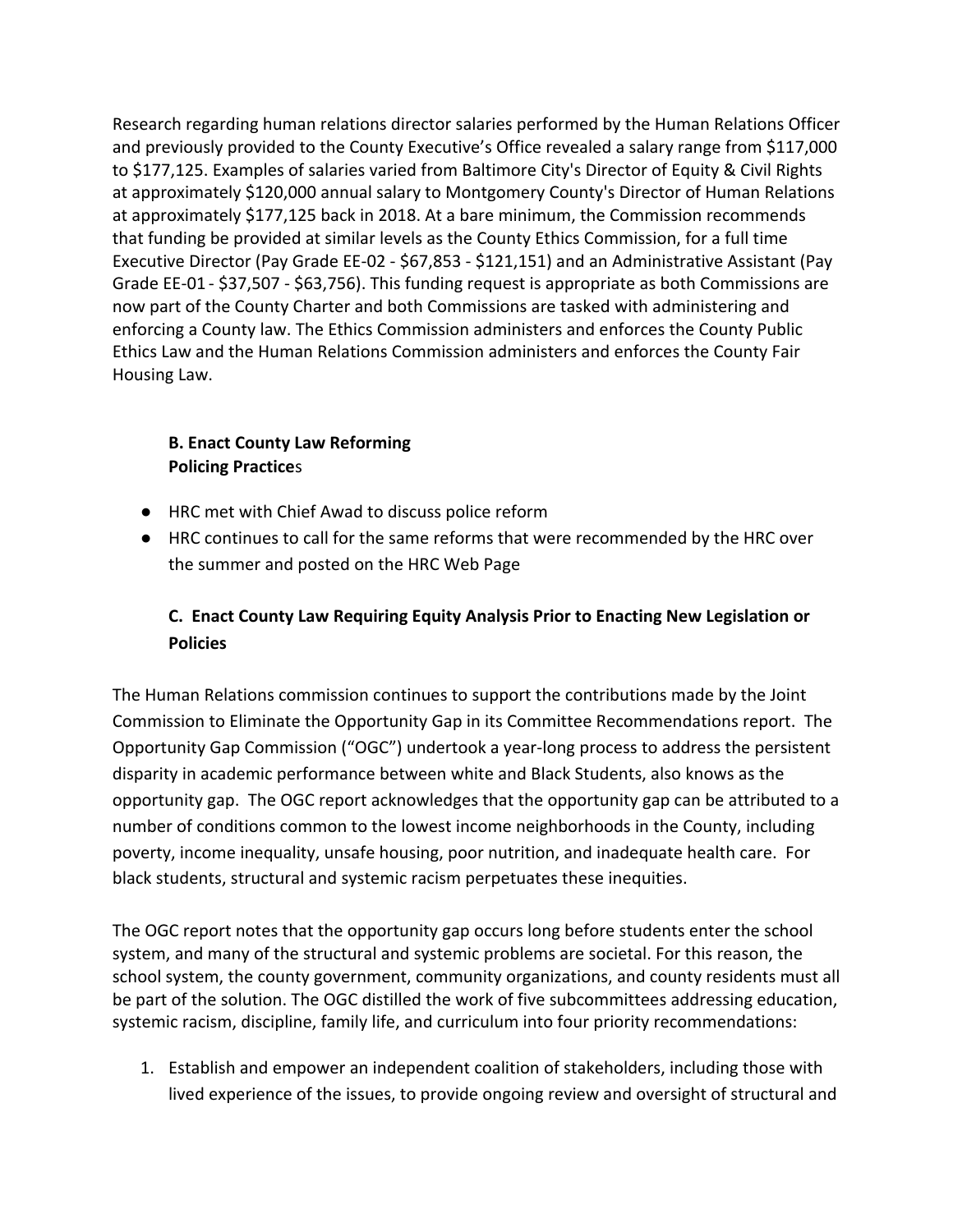Research regarding human relations director salaries performed by the Human Relations Officer and previously provided to the County Executive's Office revealed a salary range from \$117,000 to \$177,125. Examples of salaries varied from Baltimore City's Director of Equity & Civil Rights at approximately \$120,000 annual salary to Montgomery County's Director of Human Relations at approximately \$177,125 back in 2018. At a bare minimum, the Commission recommends that funding be provided at similar levels as the County Ethics Commission, for a full time Executive Director (Pay Grade EE-02 - \$67,853 - \$121,151) and an Administrative Assistant (Pay Grade EE-01 - \$37,507 - \$63,756). This funding request is appropriate as both Commissions are now part of the County Charter and both Commissions are tasked with administering and enforcing a County law. The Ethics Commission administers and enforces the County Public Ethics Law and the Human Relations Commission administers and enforces the County Fair Housing Law.

#### **B. Enact County Law Reforming Policing Practice**s

- HRC met with Chief Awad to discuss police reform
- HRC continues to call for the same reforms that were recommended by the HRC over the summer and posted on the HRC Web Page

#### **C. Enact County Law Requiring Equity Analysis Prior to Enacting New Legislation or Policies**

The Human Relations commission continues to support the contributions made by the Joint Commission to Eliminate the Opportunity Gap in its Committee Recommendations report. The Opportunity Gap Commission ("OGC") undertook a year-long process to address the persistent disparity in academic performance between white and Black Students, also knows as the opportunity gap. The OGC report acknowledges that the opportunity gap can be attributed to a number of conditions common to the lowest income neighborhoods in the County, including poverty, income inequality, unsafe housing, poor nutrition, and inadequate health care. For black students, structural and systemic racism perpetuates these inequities.

The OGC report notes that the opportunity gap occurs long before students enter the school system, and many of the structural and systemic problems are societal. For this reason, the school system, the county government, community organizations, and county residents must all be part of the solution. The OGC distilled the work of five subcommittees addressing education, systemic racism, discipline, family life, and curriculum into four priority recommendations:

1. Establish and empower an independent coalition of stakeholders, including those with lived experience of the issues, to provide ongoing review and oversight of structural and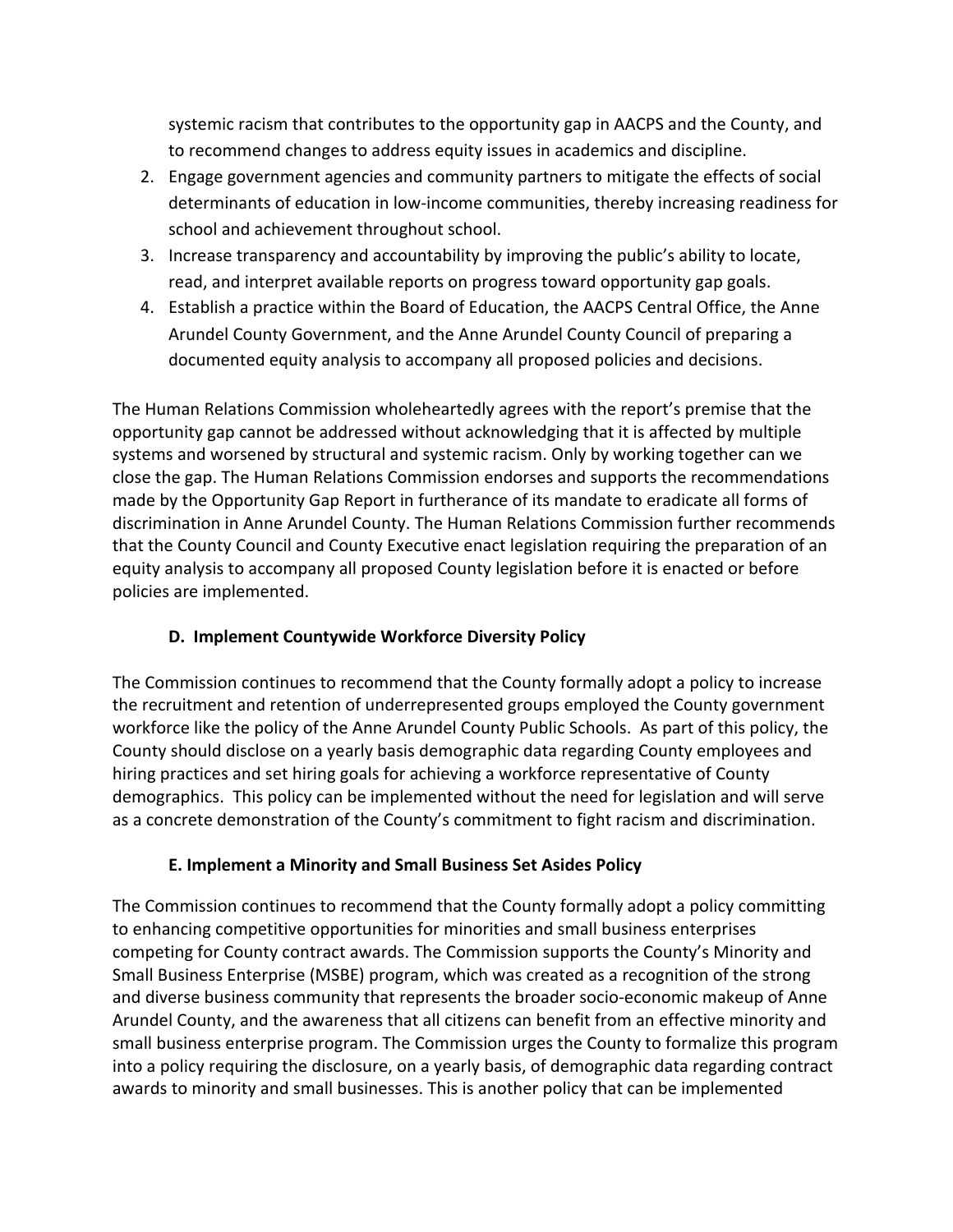systemic racism that contributes to the opportunity gap in AACPS and the County, and to recommend changes to address equity issues in academics and discipline.

- 2. Engage government agencies and community partners to mitigate the effects of social determinants of education in low-income communities, thereby increasing readiness for school and achievement throughout school.
- 3. Increase transparency and accountability by improving the public's ability to locate, read, and interpret available reports on progress toward opportunity gap goals.
- 4. Establish a practice within the Board of Education, the AACPS Central Office, the Anne Arundel County Government, and the Anne Arundel County Council of preparing a documented equity analysis to accompany all proposed policies and decisions.

The Human Relations Commission wholeheartedly agrees with the report's premise that the opportunity gap cannot be addressed without acknowledging that it is affected by multiple systems and worsened by structural and systemic racism. Only by working together can we close the gap. The Human Relations Commission endorses and supports the recommendations made by the Opportunity Gap Report in furtherance of its mandate to eradicate all forms of discrimination in Anne Arundel County. The Human Relations Commission further recommends that the County Council and County Executive enact legislation requiring the preparation of an equity analysis to accompany all proposed County legislation before it is enacted or before policies are implemented.

#### **D. Implement Countywide Workforce Diversity Policy**

The Commission continues to recommend that the County formally adopt a policy to increase the recruitment and retention of underrepresented groups employed the County government workforce like the policy of the Anne Arundel County Public Schools. As part of this policy, the County should disclose on a yearly basis demographic data regarding County employees and hiring practices and set hiring goals for achieving a workforce representative of County demographics. This policy can be implemented without the need for legislation and will serve as a concrete demonstration of the County's commitment to fight racism and discrimination.

#### **E. Implement a Minority and Small Business Set Asides Policy**

The Commission continues to recommend that the County formally adopt a policy committing to enhancing competitive opportunities for minorities and small business enterprises competing for County contract awards. The Commission supports the County's Minority and Small Business Enterprise (MSBE) program, which was created as a recognition of the strong and diverse business community that represents the broader socio-economic makeup of Anne Arundel County, and the awareness that all citizens can benefit from an effective minority and small business enterprise program. The Commission urges the County to formalize this program into a policy requiring the disclosure, on a yearly basis, of demographic data regarding contract awards to minority and small businesses. This is another policy that can be implemented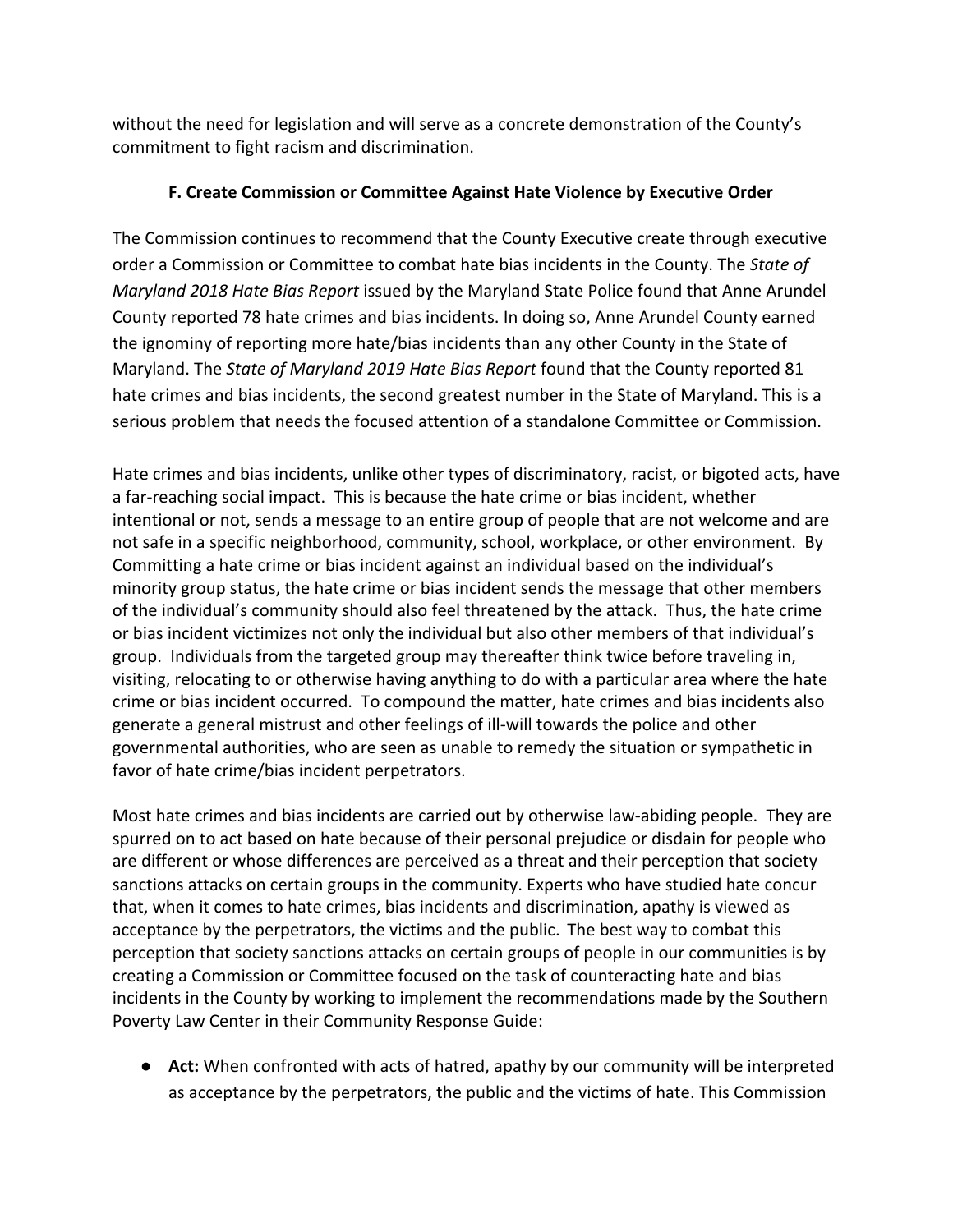without the need for legislation and will serve as a concrete demonstration of the County's commitment to fight racism and discrimination.

#### **F. Create Commission or Committee Against Hate Violence by Executive Order**

The Commission continues to recommend that the County Executive create through executive order a Commission or Committee to combat hate bias incidents in the County. The *State of Maryland 2018 Hate Bias Report* issued by the Maryland State Police found that Anne Arundel County reported 78 hate crimes and bias incidents. In doing so, Anne Arundel County earned the ignominy of reporting more hate/bias incidents than any other County in the State of Maryland. The *State of Maryland 2019 Hate Bias Report* found that the County reported 81 hate crimes and bias incidents, the second greatest number in the State of Maryland. This is a serious problem that needs the focused attention of a standalone Committee or Commission.

Hate crimes and bias incidents, unlike other types of discriminatory, racist, or bigoted acts, have a far-reaching social impact. This is because the hate crime or bias incident, whether intentional or not, sends a message to an entire group of people that are not welcome and are not safe in a specific neighborhood, community, school, workplace, or other environment. By Committing a hate crime or bias incident against an individual based on the individual's minority group status, the hate crime or bias incident sends the message that other members of the individual's community should also feel threatened by the attack. Thus, the hate crime or bias incident victimizes not only the individual but also other members of that individual's group. Individuals from the targeted group may thereafter think twice before traveling in, visiting, relocating to or otherwise having anything to do with a particular area where the hate crime or bias incident occurred. To compound the matter, hate crimes and bias incidents also generate a general mistrust and other feelings of ill-will towards the police and other governmental authorities, who are seen as unable to remedy the situation or sympathetic in favor of hate crime/bias incident perpetrators.

Most hate crimes and bias incidents are carried out by otherwise law-abiding people. They are spurred on to act based on hate because of their personal prejudice or disdain for people who are different or whose differences are perceived as a threat and their perception that society sanctions attacks on certain groups in the community. Experts who have studied hate concur that, when it comes to hate crimes, bias incidents and discrimination, apathy is viewed as acceptance by the perpetrators, the victims and the public. The best way to combat this perception that society sanctions attacks on certain groups of people in our communities is by creating a Commission or Committee focused on the task of counteracting hate and bias incidents in the County by working to implement the recommendations made by the Southern Poverty Law Center in their Community Response Guide:

● **Act:** When confronted with acts of hatred, apathy by our community will be interpreted as acceptance by the perpetrators, the public and the victims of hate. This Commission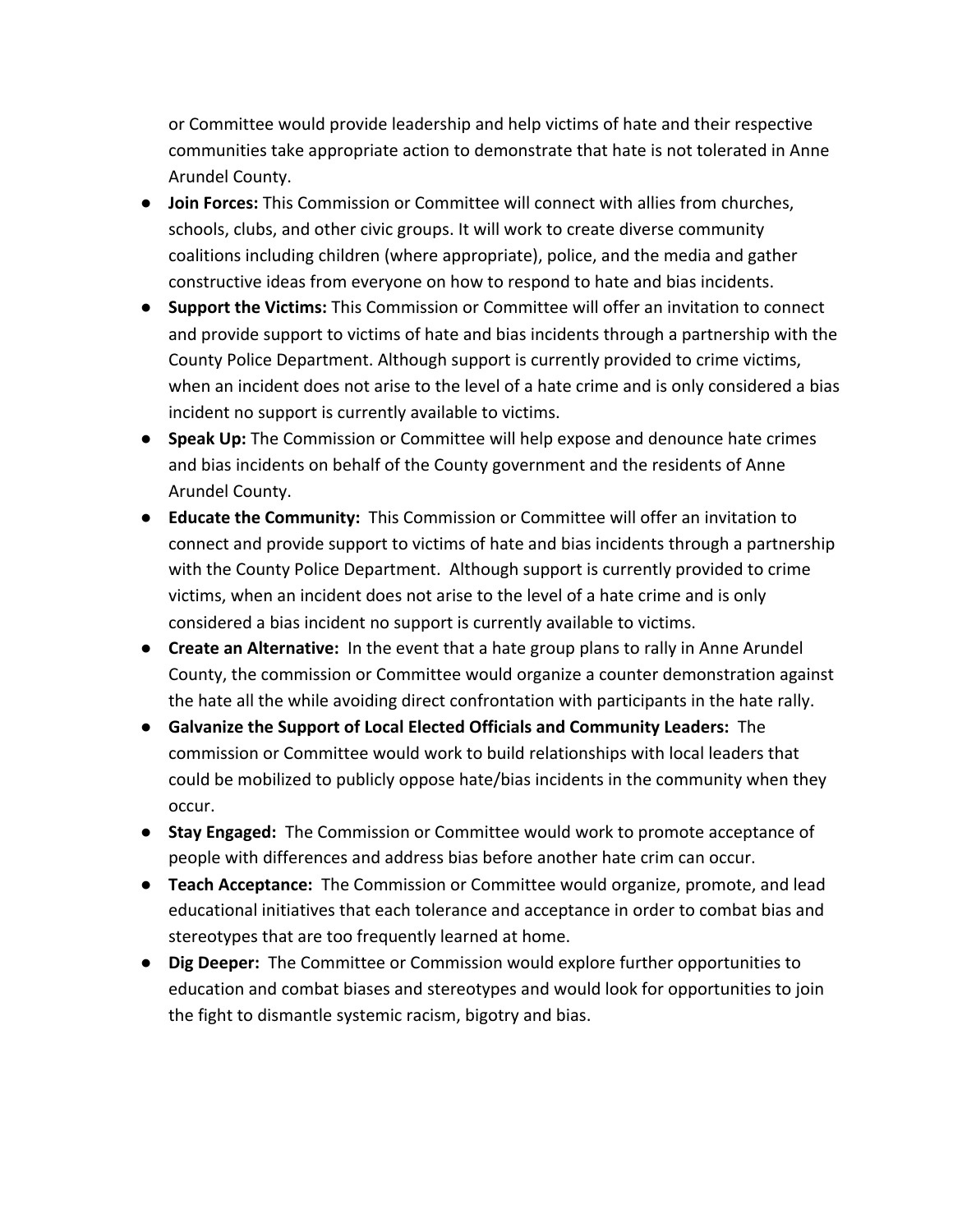or Committee would provide leadership and help victims of hate and their respective communities take appropriate action to demonstrate that hate is not tolerated in Anne Arundel County.

- **Join Forces:** This Commission or Committee will connect with allies from churches, schools, clubs, and other civic groups. It will work to create diverse community coalitions including children (where appropriate), police, and the media and gather constructive ideas from everyone on how to respond to hate and bias incidents.
- **Support the Victims:** This Commission or Committee will offer an invitation to connect and provide support to victims of hate and bias incidents through a partnership with the County Police Department. Although support is currently provided to crime victims, when an incident does not arise to the level of a hate crime and is only considered a bias incident no support is currently available to victims.
- **Speak Up:** The Commission or Committee will help expose and denounce hate crimes and bias incidents on behalf of the County government and the residents of Anne Arundel County.
- **Educate the Community:** This Commission or Committee will offer an invitation to connect and provide support to victims of hate and bias incidents through a partnership with the County Police Department. Although support is currently provided to crime victims, when an incident does not arise to the level of a hate crime and is only considered a bias incident no support is currently available to victims.
- **Create an Alternative:** In the event that a hate group plans to rally in Anne Arundel County, the commission or Committee would organize a counter demonstration against the hate all the while avoiding direct confrontation with participants in the hate rally.
- **Galvanize the Support of Local Elected Officials and Community Leaders:** The commission or Committee would work to build relationships with local leaders that could be mobilized to publicly oppose hate/bias incidents in the community when they occur.
- **Stay Engaged:** The Commission or Committee would work to promote acceptance of people with differences and address bias before another hate crim can occur.
- **Teach Acceptance:** The Commission or Committee would organize, promote, and lead educational initiatives that each tolerance and acceptance in order to combat bias and stereotypes that are too frequently learned at home.
- **Dig Deeper:** The Committee or Commission would explore further opportunities to education and combat biases and stereotypes and would look for opportunities to join the fight to dismantle systemic racism, bigotry and bias.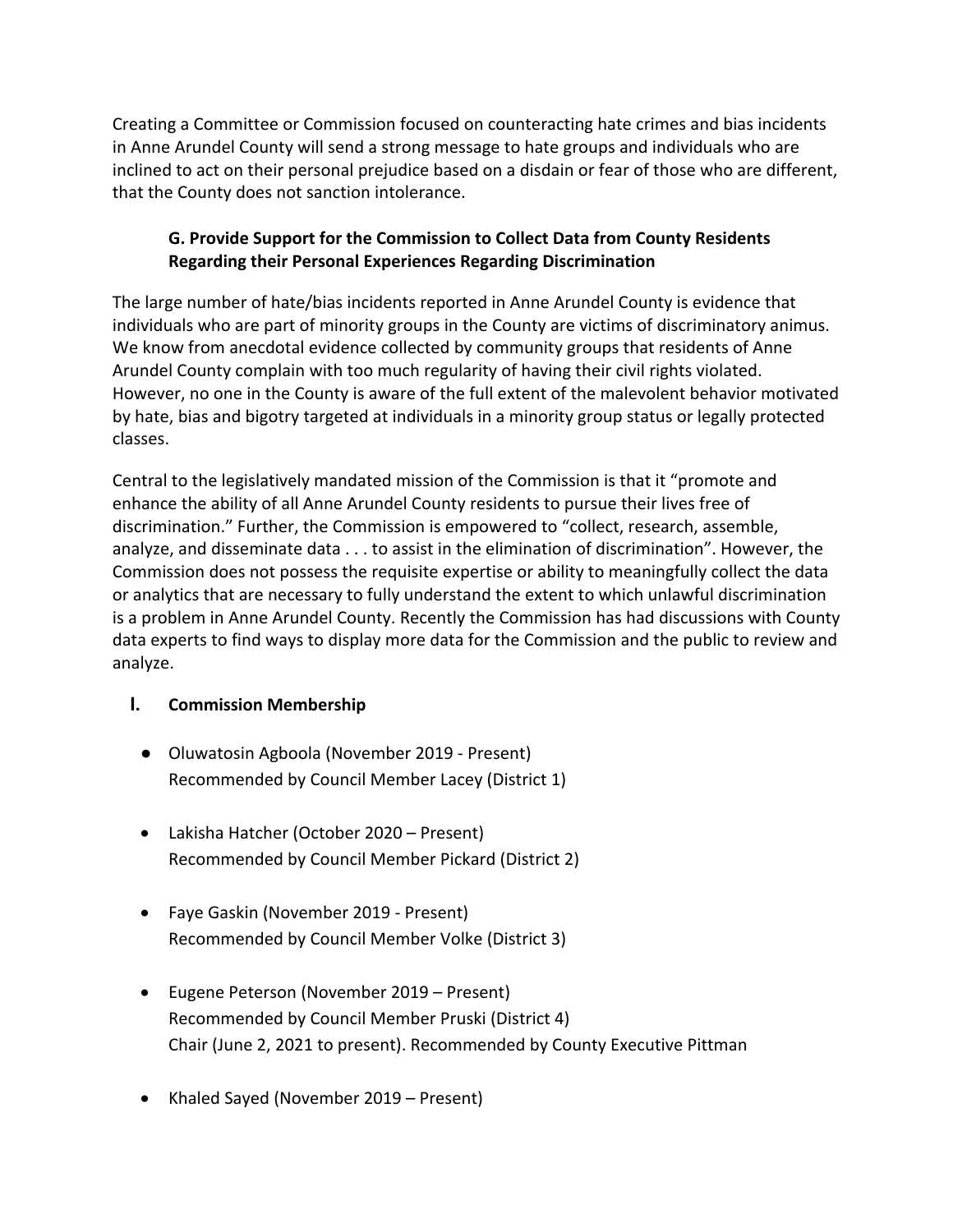Creating a Committee or Commission focused on counteracting hate crimes and bias incidents in Anne Arundel County will send a strong message to hate groups and individuals who are inclined to act on their personal prejudice based on a disdain or fear of those who are different, that the County does not sanction intolerance.

#### **G. Provide Support for the Commission to Collect Data from County Residents Regarding their Personal Experiences Regarding Discrimination**

The large number of hate/bias incidents reported in Anne Arundel County is evidence that individuals who are part of minority groups in the County are victims of discriminatory animus. We know from anecdotal evidence collected by community groups that residents of Anne Arundel County complain with too much regularity of having their civil rights violated. However, no one in the County is aware of the full extent of the malevolent behavior motivated by hate, bias and bigotry targeted at individuals in a minority group status or legally protected classes.

Central to the legislatively mandated mission of the Commission is that it "promote and enhance the ability of all Anne Arundel County residents to pursue their lives free of discrimination." Further, the Commission is empowered to "collect, research, assemble, analyze, and disseminate data . . . to assist in the elimination of discrimination". However, the Commission does not possess the requisite expertise or ability to meaningfully collect the data or analytics that are necessary to fully understand the extent to which unlawful discrimination is a problem in Anne Arundel County. Recently the Commission has had discussions with County data experts to find ways to display more data for the Commission and the public to review and analyze.

#### **I. Commission Membership**

- Oluwatosin Agboola (November 2019 Present) Recommended by Council Member Lacey (District 1)
- Lakisha Hatcher (October 2020 Present) Recommended by Council Member Pickard (District 2)
- Faye Gaskin (November 2019 Present) Recommended by Council Member Volke (District 3)
- Eugene Peterson (November 2019 Present) Recommended by Council Member Pruski (District 4) Chair (June 2, 2021 to present). Recommended by County Executive Pittman
- Khaled Sayed (November 2019 Present)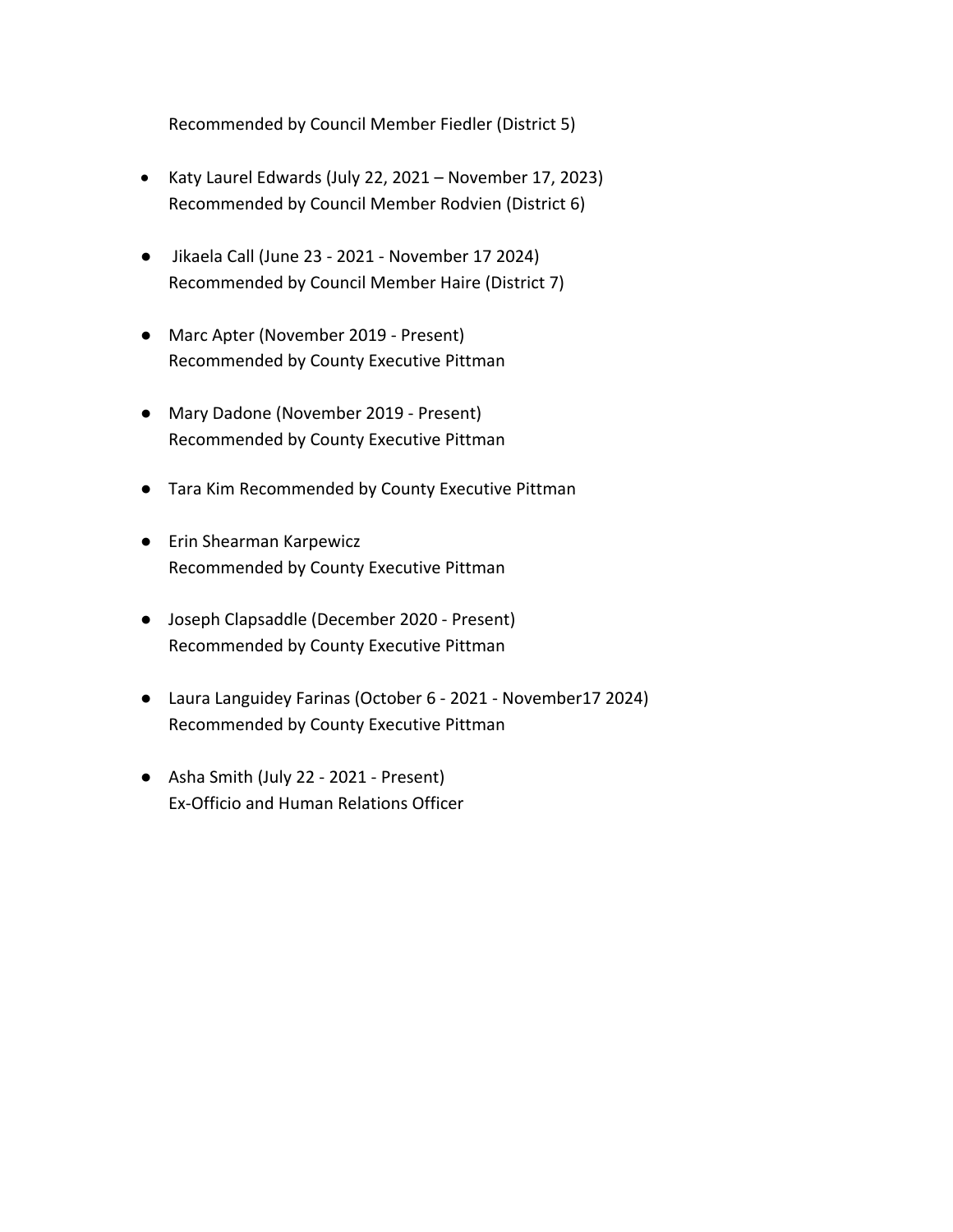Recommended by Council Member Fiedler (District 5)

- Katy Laurel Edwards (July 22, 2021 November 17, 2023) Recommended by Council Member Rodvien (District 6)
- Jikaela Call (June 23 2021 November 17 2024) Recommended by Council Member Haire (District 7)
- Marc Apter (November 2019 Present) Recommended by County Executive Pittman
- Mary Dadone (November 2019 Present) Recommended by County Executive Pittman
- Tara Kim Recommended by County Executive Pittman
- **•** Erin Shearman Karpewicz Recommended by County Executive Pittman
- Joseph Clapsaddle (December 2020 Present) Recommended by County Executive Pittman
- Laura Languidey Farinas (October 6 2021 November17 2024) Recommended by County Executive Pittman
- Asha Smith (July 22 2021 Present) Ex-Officio and Human Relations Officer